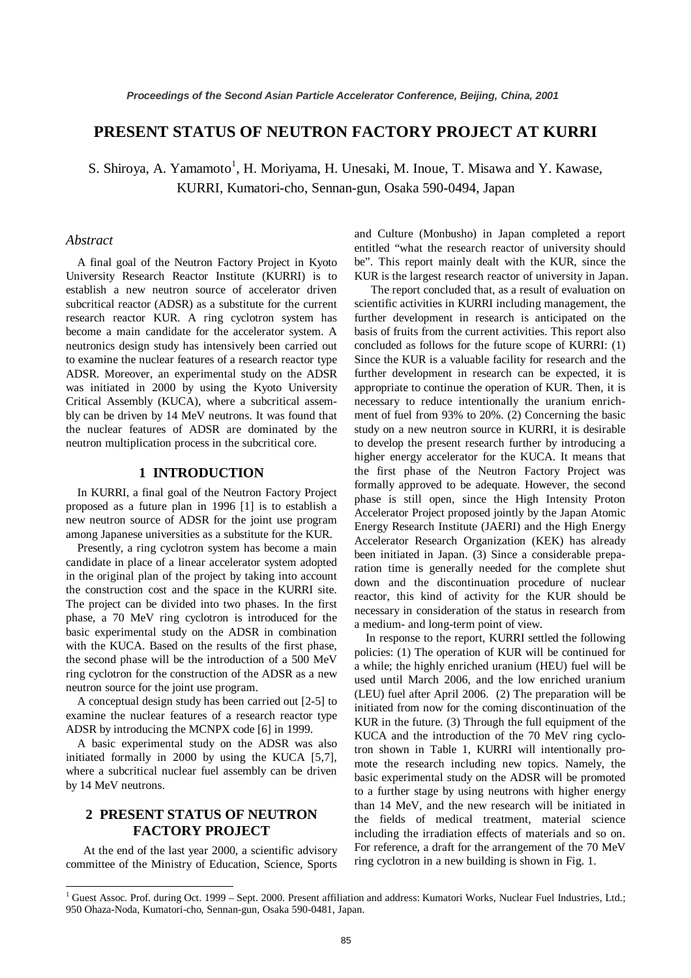# **PRESENT STATUS OF NEUTRON FACTORY PROJECT AT KURRI**

S. Shiroya, A. Yamamoto<sup>1</sup>, H. Moriyama, H. Unesaki, M. Inoue, T. Misawa and Y. Kawase, KURRI, Kumatori-cho, Sennan-gun, Osaka 590-0494, Japan

#### *Abstract*

A final goal of the Neutron Factory Project in Kyoto University Research Reactor Institute (KURRI) is to establish a new neutron source of accelerator driven subcritical reactor (ADSR) as a substitute for the current research reactor KUR. A ring cyclotron system has become a main candidate for the accelerator system. A neutronics design study has intensively been carried out to examine the nuclear features of a research reactor type ADSR. Moreover, an experimental study on the ADSR was initiated in 2000 by using the Kyoto University Critical Assembly (KUCA), where a subcritical assembly can be driven by 14 MeV neutrons. It was found that the nuclear features of ADSR are dominated by the neutron multiplication process in the subcritical core.

### **1 INTRODUCTION**

In KURRI, a final goal of the Neutron Factory Project proposed as a future plan in 1996 [1] is to establish a new neutron source of ADSR for the joint use program among Japanese universities as a substitute for the KUR.

Presently, a ring cyclotron system has become a main candidate in place of a linear accelerator system adopted in the original plan of the project by taking into account the construction cost and the space in the KURRI site. The project can be divided into two phases. In the first phase, a 70 MeV ring cyclotron is introduced for the basic experimental study on the ADSR in combination with the KUCA. Based on the results of the first phase, the second phase will be the introduction of a 500 MeV ring cyclotron for the construction of the ADSR as a new neutron source for the joint use program.

A conceptual design study has been carried out [2-5] to examine the nuclear features of a research reactor type ADSR by introducing the MCNPX code [6] in 1999.

A basic experimental study on the ADSR was also initiated formally in 2000 by using the KUCA [5,7], where a subcritical nuclear fuel assembly can be driven by 14 MeV neutrons.

# **2 PRESENT STATUS OF NEUTRON FACTORY PROJECT**

At the end of the last year 2000, a scientific advisory committee of the Ministry of Education, Science, Sports

and Culture (Monbusho) in Japan completed a report entitled "what the research reactor of university should be". This report mainly dealt with the KUR, since the KUR is the largest research reactor of university in Japan.

The report concluded that, as a result of evaluation on scientific activities in KURRI including management, the further development in research is anticipated on the basis of fruits from the current activities. This report also concluded as follows for the future scope of KURRI: (1) Since the KUR is a valuable facility for research and the further development in research can be expected, it is appropriate to continue the operation of KUR. Then, it is necessary to reduce intentionally the uranium enrichment of fuel from 93% to 20%. (2) Concerning the basic study on a new neutron source in KURRI, it is desirable to develop the present research further by introducing a higher energy accelerator for the KUCA. It means that the first phase of the Neutron Factory Project was formally approved to be adequate. However, the second phase is still open, since the High Intensity Proton Accelerator Project proposed jointly by the Japan Atomic Energy Research Institute (JAERI) and the High Energy Accelerator Research Organization (KEK) has already been initiated in Japan. (3) Since a considerable preparation time is generally needed for the complete shut down and the discontinuation procedure of nuclear reactor, this kind of activity for the KUR should be necessary in consideration of the status in research from a medium- and long-term point of view.

In response to the report, KURRI settled the following policies: (1) The operation of KUR will be continued for a while; the highly enriched uranium (HEU) fuel will be used until March 2006, and the low enriched uranium (LEU) fuel after April 2006. (2) The preparation will be initiated from now for the coming discontinuation of the KUR in the future. (3) Through the full equipment of the KUCA and the introduction of the 70 MeV ring cyclotron shown in Table 1, KURRI will intentionally promote the research including new topics. Namely, the basic experimental study on the ADSR will be promoted to a further stage by using neutrons with higher energy than 14 MeV, and the new research will be initiated in the fields of medical treatment, material science including the irradiation effects of materials and so on. For reference, a draft for the arrangement of the 70 MeV ring cyclotron in a new building is shown in Fig. 1.

<sup>&</sup>lt;sup>1</sup> Guest Assoc. Prof. during Oct. 1999 – Sept. 2000. Present affiliation and address: Kumatori Works, Nuclear Fuel Industries, Ltd.; 950 Ohaza-Noda, Kumatori-cho, Sennan-gun, Osaka 590-0481, Japan.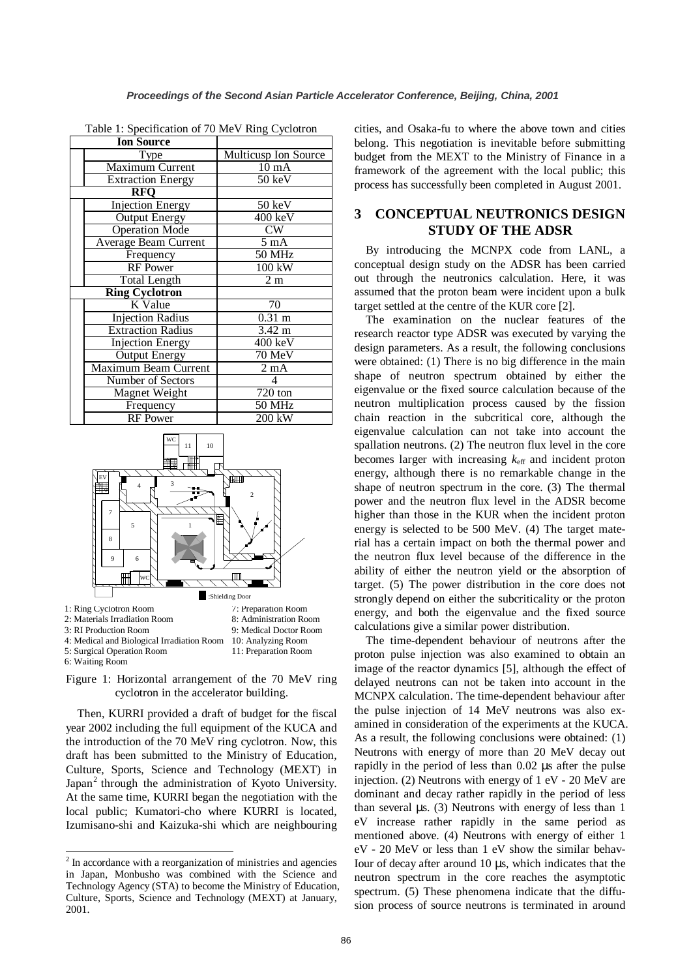| <b>Ion Source</b>        |                      |
|--------------------------|----------------------|
| Type                     | Multicusp Ion Source |
| <b>Maximum Current</b>   | $10 \text{ mA}$      |
| <b>Extraction Energy</b> | 50 keV               |
| RFO                      |                      |
| <b>Injection Energy</b>  | 50 keV               |
| <b>Output Energy</b>     | 400 keV              |
| <b>Operation Mode</b>    | CW                   |
| Average Beam Current     | $5 \text{ mA}$       |
| Frequency                | 50 MHz               |
| <b>RF</b> Power          | $100$ kW             |
| <b>Total Length</b>      | 2m                   |
| <b>Ring Cyclotron</b>    |                      |
| K Value                  | 70                   |
| <b>Injection Radius</b>  | $0.31 \text{ m}$     |
| <b>Extraction Radius</b> | $3.42 \text{ m}$     |
| <b>Injection Energy</b>  | $400 \text{ keV}$    |
| <b>Output Energy</b>     | 70 MeV               |
| Maximum Beam Current     | $2 \text{ mA}$       |
| Number of Sectors        |                      |
| Magnet Weight            | $720 \text{ ton}$    |
| Frequency                | <b>50 MHz</b>        |
| <b>RF</b> Power          | 200 kW               |

Table 1: Specification of 70 MeV Ring Cyclotron





Then, KURRI provided a draft of budget for the fiscal year 2002 including the full equipment of the KUCA and the introduction of the 70 MeV ring cyclotron. Now, this draft has been submitted to the Ministry of Education, Culture, Sports, Science and Technology (MEXT) in Japan<sup>2</sup> through the administration of Kyoto University. At the same time, KURRI began the negotiation with the local public; Kumatori-cho where KURRI is located, Izumisano-shi and Kaizuka-shi which are neighbouring cities, and Osaka-fu to where the above town and cities belong. This negotiation is inevitable before submitting budget from the MEXT to the Ministry of Finance in a framework of the agreement with the local public; this process has successfully been completed in August 2001.

# **3 CONCEPTUAL NEUTRONICS DESIGN STUDY OF THE ADSR**

By introducing the MCNPX code from LANL, a conceptual design study on the ADSR has been carried out through the neutronics calculation. Here, it was assumed that the proton beam were incident upon a bulk target settled at the centre of the KUR core [2].

The examination on the nuclear features of the research reactor type ADSR was executed by varying the design parameters. As a result, the following conclusions were obtained: (1) There is no big difference in the main shape of neutron spectrum obtained by either the eigenvalue or the fixed source calculation because of the neutron multiplication process caused by the fission chain reaction in the subcritical core, although the eigenvalue calculation can not take into account the spallation neutrons. (2) The neutron flux level in the core becomes larger with increasing  $k<sub>eff</sub>$  and incident proton energy, although there is no remarkable change in the shape of neutron spectrum in the core. (3) The thermal power and the neutron flux level in the ADSR become higher than those in the KUR when the incident proton energy is selected to be 500 MeV. (4) The target material has a certain impact on both the thermal power and the neutron flux level because of the difference in the ability of either the neutron yield or the absorption of target. (5) The power distribution in the core does not strongly depend on either the subcriticality or the proton energy, and both the eigenvalue and the fixed source calculations give a similar power distribution.

The time-dependent behaviour of neutrons after the proton pulse injection was also examined to obtain an image of the reactor dynamics [5], although the effect of delayed neutrons can not be taken into account in the MCNPX calculation. The time-dependent behaviour after the pulse injection of 14 MeV neutrons was also examined in consideration of the experiments at the KUCA. As a result, the following conclusions were obtained: (1) Neutrons with energy of more than 20 MeV decay out rapidly in the period of less than 0.02 µs after the pulse injection. (2) Neutrons with energy of 1 eV - 20 MeV are dominant and decay rather rapidly in the period of less than several  $\mu$ s. (3) Neutrons with energy of less than 1 eV increase rather rapidly in the same period as mentioned above. (4) Neutrons with energy of either 1 eV - 20 MeV or less than 1 eV show the similar behav-Iour of decay after around 10 µs, which indicates that the neutron spectrum in the core reaches the asymptotic spectrum. (5) These phenomena indicate that the diffusion process of source neutrons is terminated in around

 $2$  In accordance with a reorganization of ministries and agencies in Japan, Monbusho was combined with the Science and Technology Agency (STA) to become the Ministry of Education, Culture, Sports, Science and Technology (MEXT) at January, 2001.